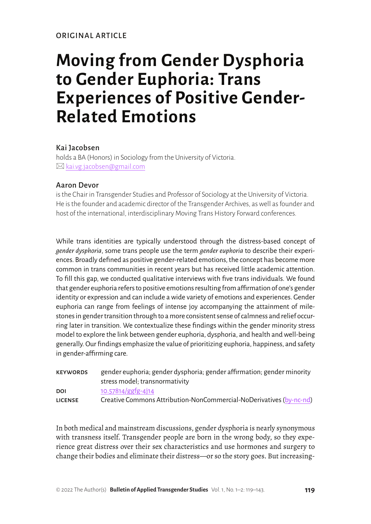# **Moving from Gender Dysphoria to Gender Euphoria: Trans Experiences of Positive Gender-Related Emotions**

# Kai Jacobsen

holds a BA (Honors) in Sociology from the University of Victoria.  $\boxtimes$  [kai.vg.jacobsen@gmail.com](mailto:kai.vg.jacobsen@gmail.com)

# Aaron Devor

is the Chair in Transgender Studies and Professor of Sociology at the University of Victoria. He is the founder and academic director of the Transgender Archives, as well as founder and host of the international, interdisciplinary Moving Trans History Forward conferences.

While trans identities are typically understood through the distress-based concept of *gender dysphoria*, some trans people use the term *gender euphoria* to describe their experiences. Broadly defined as positive gender-related emotions, the concept has become more common in trans communities in recent years but has received little academic attention. To fill this gap, we conducted qualitative interviews with five trans individuals. We found that gender euphoria refers to positive emotions resulting from affirmation of one's gender identity or expression and can include a wide variety of emotions and experiences. Gender euphoria can range from feelings of intense joy accompanying the attainment of milestones in gender transition through to a more consistent sense of calmness and relief occurring later in transition. We contextualize these findings within the gender minority stress model to explore the link between gender euphoria, dysphoria, and health and well-being generally. Our findings emphasize the value of prioritizing euphoria, happiness, and safety in gender-affirming care.

| <b>KEYWORDS</b> | gender euphoria; gender dysphoria; gender affirmation; gender minority |  |  |
|-----------------|------------------------------------------------------------------------|--|--|
|                 | stress model; transnormativity                                         |  |  |
| <b>DOI</b>      | 10.57814/ggfg-4j14                                                     |  |  |
| <b>LICENSE</b>  | Creative Commons Attribution-NonCommercial-NoDerivatives (by-nc-nd)    |  |  |

In both medical and mainstream discussions, gender dysphoria is nearly synonymous with transness itself. Transgender people are born in the wrong body, so they experience great distress over their sex characteristics and use hormones and surgery to change their bodies and eliminate their distress—or so the story goes. But increasing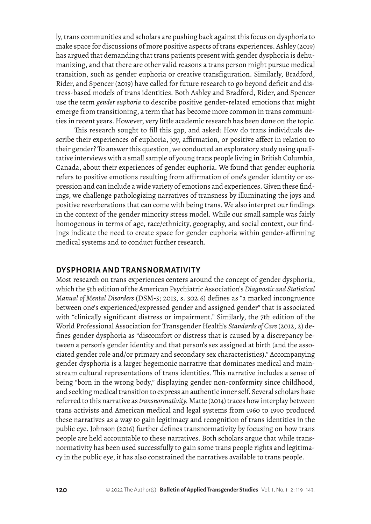ly, trans communities and scholars are pushing back against this focus on dysphoria to make space for discussions of more positive aspects of trans experiences. Ashley (2019) has argued that demanding that trans patients present with gender dysphoria is dehumanizing, and that there are other valid reasons a trans person might pursue medical transition, such as gender euphoria or creative transfiguration. Similarly, Bradford, Rider, and Spencer (2019) have called for future research to go beyond deficit and distress-based models of trans identities. Both Ashley and Bradford, Rider, and Spencer use the term *gender euphoria* to describe positive gender-related emotions that might emerge from transitioning, a term that has become more common in trans communities in recent years. However, very little academic research has been done on the topic.

This research sought to fill this gap, and asked: How do trans individuals describe their experiences of euphoria, joy, affirmation, or positive affect in relation to their gender? To answer this question, we conducted an exploratory study using qualitative interviews with a small sample of young trans people living in British Columbia, Canada, about their experiences of gender euphoria. We found that gender euphoria refers to positive emotions resulting from affirmation of one's gender identity or expression and can include a wide variety of emotions and experiences. Given these findings, we challenge pathologizing narratives of transness by illuminating the joys and positive reverberations that can come with being trans. We also interpret our findings in the context of the gender minority stress model. While our small sample was fairly homogenous in terms of age, race/ethnicity, geography, and social context, our findings indicate the need to create space for gender euphoria within gender-affirming medical systems and to conduct further research.

## **DYSPHORIA AND TRANSNORMATIVITY**

Most research on trans experiences centers around the concept of gender dysphoria, which the 5th edition of the American Psychiatric Association's *Diagnostic and Statistical Manual of Mental Disorders* (DSM-5; 2013, s. 302.6) defines as "a marked incongruence between one's experienced/expressed gender and assigned gender" that is associated with "clinically significant distress or impairment." Similarly, the 7th edition of the World Professional Association for Transgender Health's *Standards of Care* (2012, 2) defines gender dysphoria as "discomfort or distress that is caused by a discrepancy between a person's gender identity and that person's sex assigned at birth (and the associated gender role and/or primary and secondary sex characteristics)." Accompanying gender dysphoria is a larger hegemonic narrative that dominates medical and mainstream cultural representations of trans identities. This narrative includes a sense of being "born in the wrong body," displaying gender non-conformity since childhood, and seeking medical transition to express an authentic inner self. Several scholars have referred to this narrative as *transnormativity.* Matte (2014) traces how interplay between trans activists and American medical and legal systems from 1960 to 1990 produced these narratives as a way to gain legitimacy and recognition of trans identities in the public eye. Johnson (2016) further defines transnormativity by focusing on how trans people are held accountable to these narratives. Both scholars argue that while transnormativity has been used successfully to gain some trans people rights and legitimacy in the public eye, it has also constrained the narratives available to trans people.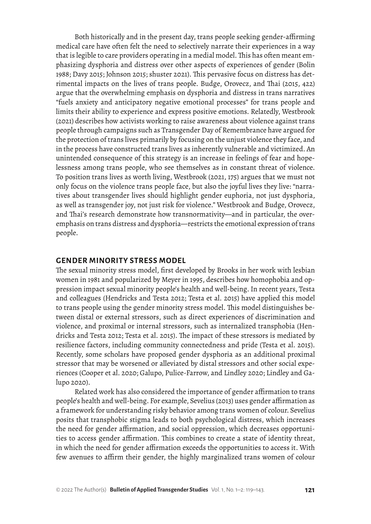Both historically and in the present day, trans people seeking gender-affirming medical care have often felt the need to selectively narrate their experiences in a way that is legible to care providers operating in a medial model. This has often meant emphasizing dysphoria and distress over other aspects of experiences of gender (Bolin 1988; Davy 2015; Johnson 2015; shuster 2021). This pervasive focus on distress has detrimental impacts on the lives of trans people. Budge, Orovecz, and Thai (2015, 422) argue that the overwhelming emphasis on dysphoria and distress in trans narratives "fuels anxiety and anticipatory negative emotional processes" for trans people and limits their ability to experience and express positive emotions. Relatedly, Westbrook (2021) describes how activists working to raise awareness about violence against trans people through campaigns such as Transgender Day of Remembrance have argued for the protection of trans lives primarily by focusing on the unjust violence they face, and in the process have constructed trans lives as inherently vulnerable and victimized. An unintended consequence of this strategy is an increase in feelings of fear and hopelessness among trans people, who see themselves as in constant threat of violence. To position trans lives as worth living, Westbrook (2021, 175) argues that we must not only focus on the violence trans people face, but also the joyful lives they live: "narratives about transgender lives should highlight gender euphoria, not just dysphoria, as well as transgender joy, not just risk for violence." Westbrook and Budge, Orovecz, and Thai's research demonstrate how transnormativity—and in particular, the overemphasis on trans distress and dysphoria—restricts the emotional expression of trans people.

#### **GENDER MINORITY STRESS MODEL**

The sexual minority stress model, first developed by Brooks in her work with lesbian women in 1981 and popularized by Meyer in 1995, describes how homophobia and oppression impact sexual minority people's health and well-being. In recent years, Testa and colleagues (Hendricks and Testa 2012; Testa et al. 2015) have applied this model to trans people using the gender minority stress model. This model distinguishes between distal or external stressors, such as direct experiences of discrimination and violence, and proximal or internal stressors, such as internalized transphobia (Hendricks and Testa 2012; Testa et al. 2015). The impact of these stressors is mediated by resilience factors, including community connectedness and pride (Testa et al. 2015). Recently, some scholars have proposed gender dysphoria as an additional proximal stressor that may be worsened or alleviated by distal stressors and other social experiences (Cooper et al. 2020; Galupo, Pulice-Farrow, and Lindley 2020; Lindley and Galupo 2020).

Related work has also considered the importance of gender affirmation to trans people's health and well-being. For example, Sevelius (2013) uses gender affirmation as a framework for understanding risky behavior among trans women of colour. Sevelius posits that transphobic stigma leads to both psychological distress, which increases the need for gender affirmation, and social oppression, which decreases opportunities to access gender affirmation. This combines to create a state of identity threat, in which the need for gender affirmation exceeds the opportunities to access it. With few avenues to affirm their gender, the highly marginalized trans women of colour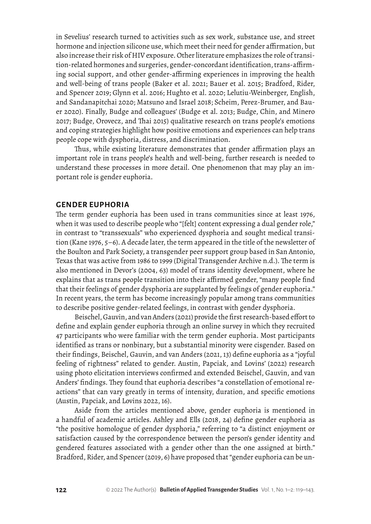in Sevelius' research turned to activities such as sex work, substance use, and street hormone and injection silicone use, which meet their need for gender affirmation, but also increase their risk of HIV exposure. Other literature emphasizes the role of transition-related hormones and surgeries, gender-concordant identification, trans-affirming social support, and other gender-affirming experiences in improving the health and well-being of trans people (Baker et al. 2021; Bauer et al. 2015; Bradford, Rider, and Spencer 2019; Glynn et al. 2016; Hughto et al. 2020; Lelutiu-Weinberger, English, and Sandanapitchai 2020; Matsuno and Israel 2018; Scheim, Perez-Brumer, and Bauer 2020). Finally, Budge and colleagues' (Budge et al. 2013; Budge, Chin, and Minero 2017; Budge, Orovecz, and Thai 2015) qualitative research on trans people's emotions and coping strategies highlight how positive emotions and experiences can help trans people cope with dysphoria, distress, and discrimination.

Thus, while existing literature demonstrates that gender affirmation plays an important role in trans people's health and well-being, further research is needed to understand these processes in more detail. One phenomenon that may play an important role is gender euphoria.

#### **GENDER EUPHORIA**

The term gender euphoria has been used in trans communities since at least 1976, when it was used to describe people who "[felt] content expressing a dual gender role," in contrast to "transsexuals" who experienced dysphoria and sought medical transition (Kane 1976, 5–6). A decade later, the term appeared in the title of the newsletter of the Boulton and Park Society, a transgender peer support group based in San Antonio, Texas that was active from 1986 to 1999 (Digital Transgender Archive n.d.). The term is also mentioned in Devor's (2004, 63) model of trans identity development, where he explains that as trans people transition into their affirmed gender, "many people find that their feelings of gender dysphoria are supplanted by feelings of gender euphoria." In recent years, the term has become increasingly popular among trans communities to describe positive gender-related feelings, in contrast with gender dysphoria.

Beischel, Gauvin, and van Anders (2021) provide the first research-based effort to define and explain gender euphoria through an online survey in which they recruited 47 participants who were familiar with the term gender euphoria. Most participants identified as trans or nonbinary, but a substantial minority were cisgender. Based on their findings, Beischel, Gauvin, and van Anders (2021, 13) define euphoria as a "joyful feeling of rightness" related to gender. Austin, Papciak, and Lovins' (2022) research using photo elicitation interviews confirmed and extended Beischel, Gauvin, and van Anders' findings. They found that euphoria describes "a constellation of emotional reactions" that can vary greatly in terms of intensity, duration, and specific emotions (Austin, Papciak, and Lovins 2022, 16).

Aside from the articles mentioned above, gender euphoria is mentioned in a handful of academic articles. Ashley and Ells (2018, 24) define gender euphoria as "the positive homologue of gender dysphoria," referring to "a distinct enjoyment or satisfaction caused by the correspondence between the person's gender identity and gendered features associated with a gender other than the one assigned at birth." Bradford, Rider, and Spencer (2019, 6) have proposed that "gender euphoria can be un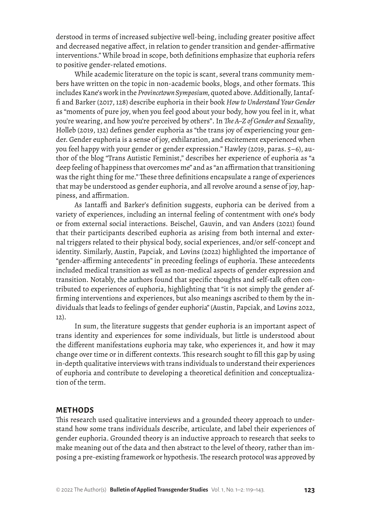derstood in terms of increased subjective well-being, including greater positive affect and decreased negative affect, in relation to gender transition and gender-affirmative interventions." While broad in scope, both definitions emphasize that euphoria refers to positive gender-related emotions.

While academic literature on the topic is scant, several trans community members have written on the topic in non-academic books, blogs, and other formats. This includes Kane's work in the *Provincetown Symposium,* quoted above. Additionally, Iantaffi and Barker (2017, 128) describe euphoria in their book *How to Understand Your Gender*  as "moments of pure joy, when you feel good about your body, how you feel in it, what you're wearing, and how you're perceived by others". In *The A–Z of Gender and Sexuality*, Holleb (2019, 132) defines gender euphoria as "the trans joy of experiencing your gender. Gender euphoria is a sense of joy, exhilaration, and excitement experienced when you feel happy with your gender or gender expression." Hawley (2019, paras. 5–6), author of the blog "Trans Autistic Feminist," describes her experience of euphoria as "a deep feeling of happiness that overcomes me" and as "an affirmation that transitioning was the right thing for me." These three definitions encapsulate a range of experiences that may be understood as gender euphoria, and all revolve around a sense of joy, happiness, and affirmation.

As Iantaffi and Barker's definition suggests, euphoria can be derived from a variety of experiences, including an internal feeling of contentment with one's body or from external social interactions. Beischel, Gauvin, and van Anders (2021) found that their participants described euphoria as arising from both internal and external triggers related to their physical body, social experiences, and/or self-concept and identity. Similarly, Austin, Papciak, and Lovins (2022) highlighted the importance of "gender-affirming antecedents" in preceding feelings of euphoria. These antecedents included medical transition as well as non-medical aspects of gender expression and transition. Notably, the authors found that specific thoughts and self-talk often contributed to experiences of euphoria, highlighting that "it is not simply the gender affirming interventions and experiences, but also meanings ascribed to them by the individuals that leads to feelings of gender euphoria" (Austin, Papciak, and Lovins 2022, 12).

In sum, the literature suggests that gender euphoria is an important aspect of trans identity and experiences for some individuals, but little is understood about the different manifestations euphoria may take, who experiences it, and how it may change over time or in different contexts. This research sought to fill this gap by using in-depth qualitative interviews with trans individuals to understand their experiences of euphoria and contribute to developing a theoretical definition and conceptualization of the term.

#### **METHODS**

This research used qualitative interviews and a grounded theory approach to understand how some trans individuals describe, articulate, and label their experiences of gender euphoria. Grounded theory is an inductive approach to research that seeks to make meaning out of the data and then abstract to the level of theory, rather than imposing a pre-existing framework or hypothesis. The research protocol was approved by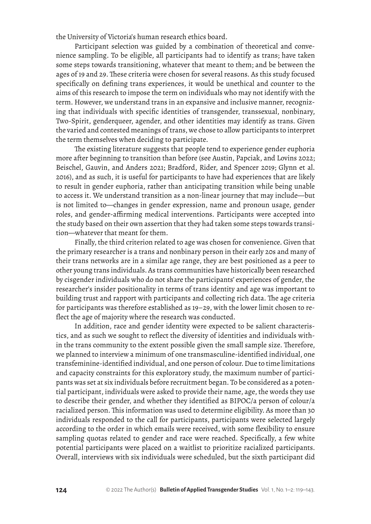the University of Victoria's human research ethics board.

Participant selection was guided by a combination of theoretical and convenience sampling. To be eligible, all participants had to identify as trans; have taken some steps towards transitioning, whatever that meant to them; and be between the ages of 19 and 29. These criteria were chosen for several reasons. As this study focused specifically on defining trans experiences, it would be unethical and counter to the aims of this research to impose the term on individuals who may not identify with the term. However, we understand trans in an expansive and inclusive manner, recognizing that individuals with specific identities of transgender, transsexual, nonbinary, Two-Spirit, genderqueer, agender, and other identities may identify as trans. Given the varied and contested meanings of trans, we chose to allow participants to interpret the term themselves when deciding to participate.

The existing literature suggests that people tend to experience gender euphoria more after beginning to transition than before (see Austin, Papciak, and Lovins 2022; Beischel, Gauvin, and Anders 2021; Bradford, Rider, and Spencer 2019; Glynn et al. 2016), and as such, it is useful for participants to have had experiences that are likely to result in gender euphoria, rather than anticipating transition while being unable to access it. We understand transition as a non-linear journey that may include—but is not limited to—changes in gender expression, name and pronoun usage, gender roles, and gender-affirming medical interventions. Participants were accepted into the study based on their own assertion that they had taken some steps towards transition—whatever that meant for them.

Finally, the third criterion related to age was chosen for convenience. Given that the primary researcher is a trans and nonbinary person in their early 20s and many of their trans networks are in a similar age range, they are best positioned as a peer to other young trans individuals. As trans communities have historically been researched by cisgender individuals who do not share the participants' experiences of gender, the researcher's insider positionality in terms of trans identity and age was important to building trust and rapport with participants and collecting rich data. The age criteria for participants was therefore established as 19–29, with the lower limit chosen to reflect the age of majority where the research was conducted.

In addition, race and gender identity were expected to be salient characteristics, and as such we sought to reflect the diversity of identities and individuals within the trans community to the extent possible given the small sample size. Therefore, we planned to interview a minimum of one transmasculine-identified individual, one transfeminine-identified individual, and one person of colour. Due to time limitations and capacity constraints for this exploratory study, the maximum number of participants was set at six individuals before recruitment began. To be considered as a potential participant, individuals were asked to provide their name, age, the words they use to describe their gender, and whether they identified as BIPOC/a person of colour/a racialized person. This information was used to determine eligibility. As more than 30 individuals responded to the call for participants, participants were selected largely according to the order in which emails were received, with some flexibility to ensure sampling quotas related to gender and race were reached. Specifically, a few white potential participants were placed on a waitlist to prioritize racialized participants. Overall, interviews with six individuals were scheduled, but the sixth participant did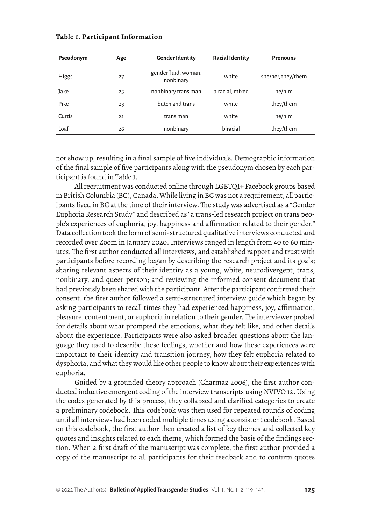| Pseudonym    | Age | <b>Gender Identity</b>           | <b>Racial Identity</b> | <b>Pronouns</b>    |
|--------------|-----|----------------------------------|------------------------|--------------------|
| <b>Higgs</b> | 27  | genderfluid, woman,<br>nonbinary | white                  | she/her, they/them |
| Jake         | 25  | nonbinary trans man              | biracial, mixed        | he/him             |
| Pike         | 23  | butch and trans                  | white                  | they/them          |
| Curtis       | 21  | trans man                        | white                  | he/him             |
| Loaf         | 26  | nonbinary                        | biracial               | they/them          |

#### **Table 1. Participant Information**

not show up, resulting in a final sample of five individuals. Demographic information of the final sample of five participants along with the pseudonym chosen by each participant is found in Table 1.

All recruitment was conducted online through LGBTQI+ Facebook groups based in British Columbia (BC), Canada. While living in BC was not a requirement, all participants lived in BC at the time of their interview. The study was advertised as a "Gender Euphoria Research Study" and described as "a trans-led research project on trans people's experiences of euphoria, joy, happiness and affirmation related to their gender." Data collection took the form of semi-structured qualitative interviews conducted and recorded over Zoom in January 2020. Interviews ranged in length from 40 to 60 minutes. The first author conducted all interviews, and established rapport and trust with participants before recording began by describing the research project and its goals; sharing relevant aspects of their identity as a young, white, neurodivergent, trans, nonbinary, and queer person; and reviewing the informed consent document that had previously been shared with the participant. After the participant confirmed their consent, the first author followed a semi-structured interview guide which began by asking participants to recall times they had experienced happiness, joy, affirmation, pleasure, contentment, or euphoria in relation to their gender. The interviewer probed for details about what prompted the emotions, what they felt like, and other details about the experience. Participants were also asked broader questions about the language they used to describe these feelings, whether and how these experiences were important to their identity and transition journey, how they felt euphoria related to dysphoria, and what they would like other people to know about their experiences with euphoria.

Guided by a grounded theory approach (Charmaz 2006), the first author conducted inductive emergent coding of the interview transcripts using NVIVO 12. Using the codes generated by this process, they collapsed and clarified categories to create a preliminary codebook. This codebook was then used for repeated rounds of coding until all interviews had been coded multiple times using a consistent codebook. Based on this codebook, the first author then created a list of key themes and collected key quotes and insights related to each theme, which formed the basis of the findings section. When a first draft of the manuscript was complete, the first author provided a copy of the manuscript to all participants for their feedback and to confirm quotes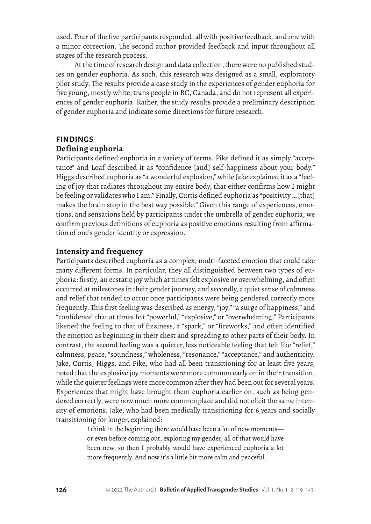used. Four of the five participants responded, all with positive feedback, and one with a minor correction. The second author provided feedback and input throughout all stages of the research process.

At the time of research design and data collection, there were no published studies on gender euphoria. As such, this research was designed as a small, exploratory pilot study. The results provide a case study in the experiences of gender euphoria for five young, mostly white, trans people in BC, Canada, and do not represent all experiences of gender euphoria. Rather, the study results provide a preliminary description of gender euphoria and indicate some directions for future research.

## **FINDINGS Defining euphoria**

Participants defined euphoria in a variety of terms. Pike defined it as simply "acceptance" and Loaf described it as "confidence [and] self-happiness about your body." Higgs described euphoria as "a wonderful explosion," while Jake explained it as a "feeling of joy that radiates throughout my entire body, that either confirms how I might be feeling or validates who I am." Finally, Curtis defined euphoria as "positivity … [that] makes the brain stop in the best way possible." Given this range of experiences, emotions, and sensations held by participants under the umbrella of gender euphoria, we confirm previous definitions of euphoria as positive emotions resulting from affirmation of one's gender identity or expression.

## **Intensity and frequency**

Participants described euphoria as a complex, multi-faceted emotion that could take many different forms. In particular, they all distinguished between two types of euphoria: firstly, an ecstatic joy which at times felt explosive or overwhelming, and often occurred at milestones in their gender journey, and secondly, a quiet sense of calmness and relief that tended to occur once participants were being gendered correctly more frequently. This first feeling was described as energy, "joy," "a surge of happiness," and "confidence" that at times felt "powerful," "explosive," or "overwhelming." Participants likened the feeling to that of fizziness, a "spark," or "fireworks," and often identified the emotion as beginning in their chest and spreading to other parts of their body. In contrast, the second feeling was a quieter, less noticeable feeling that felt like "relief," calmness, peace, "soundness," wholeness, "resonance," "acceptance," and authenticity. Jake, Curtis, Higgs, and Pike, who had all been transitioning for at least five years, noted that the explosive joy moments were more common early on in their transition, while the quieter feelings were more common after they had been out for several years. Experiences that might have brought them euphoria earlier on, such as being gendered correctly, were now much more commonplace and did not elicit the same intensity of emotions. Jake, who had been medically transitioning for 6 years and socially transitioning for longer, explained:

> I think in the beginning there would have been a lot of new moments or even before coming out, exploring my gender, all of that would have been new, so then I probably would have experienced euphoria a lot more frequently. And now it's a little bit more calm and peaceful.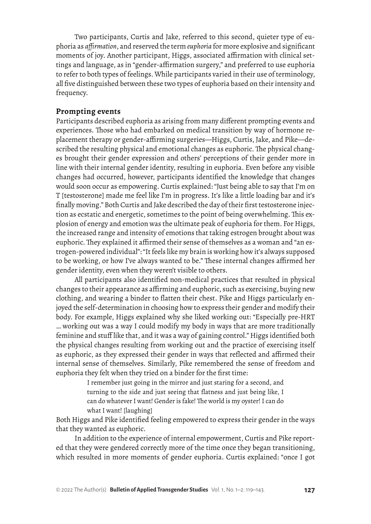Two participants, Curtis and Jake, referred to this second, quieter type of euphoria as *affirmation*, and reserved the term *euphoria* for more explosive and significant moments of joy. Another participant, Higgs, associated affirmation with clinical settings and language, as in "gender-affirmation surgery," and preferred to use euphoria to refer to both types of feelings. While participants varied in their use of terminology, all five distinguished between these two types of euphoria based on their intensity and frequency.

## **Prompting events**

Participants described euphoria as arising from many different prompting events and experiences. Those who had embarked on medical transition by way of hormone replacement therapy or gender-affirming surgeries—Higgs, Curtis, Jake, and Pike—described the resulting physical and emotional changes as euphoric. The physical changes brought their gender expression and others' perceptions of their gender more in line with their internal gender identity, resulting in euphoria. Even before any visible changes had occurred, however, participants identified the knowledge that changes would soon occur as empowering. Curtis explained: "Just being able to say that I'm on T [testosterone] made me feel like I'm in progress. It's like a little loading bar and it's finally moving." Both Curtis and Jake described the day of their first testosterone injection as ecstatic and energetic, sometimes to the point of being overwhelming. This explosion of energy and emotion was the ultimate peak of euphoria for them. For Higgs, the increased range and intensity of emotions that taking estrogen brought about was euphoric. They explained it affirmed their sense of themselves as a woman and "an estrogen-powered individual": "It feels like my brain is working how it's always supposed to be working, or how I've always wanted to be." These internal changes affirmed her gender identity, even when they weren't visible to others.

All participants also identified non-medical practices that resulted in physical changes to their appearance as affirming and euphoric, such as exercising, buying new clothing, and wearing a binder to flatten their chest. Pike and Higgs particularly enjoyed the self-determination in choosing how to express their gender and modify their body. For example, Higgs explained why she liked working out: "Especially pre-HRT … working out was a way I could modify my body in ways that are more traditionally feminine and stuff like that, and it was a way of gaining control." Higgs identified both the physical changes resulting from working out and the practice of exercising itself as euphoric, as they expressed their gender in ways that reflected and affirmed their internal sense of themselves. Similarly, Pike remembered the sense of freedom and euphoria they felt when they tried on a binder for the first time:

> I remember just going in the mirror and just staring for a second, and turning to the side and just seeing that flatness and just being like, I can do whatever I want! Gender is fake! The world is my oyster! I can do what I want! [laughing]

Both Higgs and Pike identified feeling empowered to express their gender in the ways that they wanted as euphoric.

In addition to the experience of internal empowerment, Curtis and Pike reported that they were gendered correctly more of the time once they began transitioning, which resulted in more moments of gender euphoria. Curtis explained: "once I got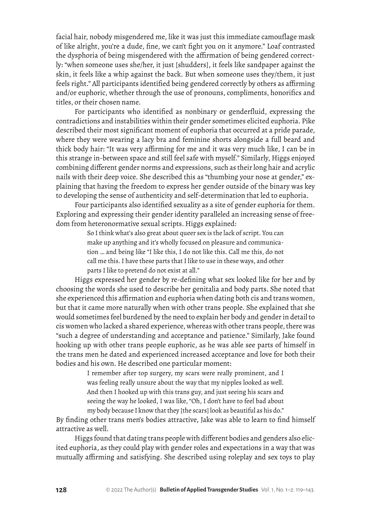facial hair, nobody misgendered me, like it was just this immediate camouflage mask of like alright, you're a dude, fine, we can't fight you on it anymore." Loaf contrasted the dysphoria of being misgendered with the affirmation of being gendered correctly: "when someone uses she/her, it just [shudders], it feels like sandpaper against the skin, it feels like a whip against the back. But when someone uses they/them, it just feels right." All participants identified being gendered correctly by others as affirming and/or euphoric, whether through the use of pronouns, compliments, honorifics and titles, or their chosen name.

For participants who identified as nonbinary or genderfluid, expressing the contradictions and instabilities within their gender sometimes elicited euphoria. Pike described their most significant moment of euphoria that occurred at a pride parade, where they were wearing a lacy bra and feminine shorts alongside a full beard and thick body hair: "It was very affirming for me and it was very much like, I can be in this strange in-between space and still feel safe with myself." Similarly, Higgs enjoyed combining different gender norms and expressions, such as their long hair and acrylic nails with their deep voice. She described this as "thumbing your nose at gender," explaining that having the freedom to express her gender outside of the binary was key to developing the sense of authenticity and self-determination that led to euphoria.

Four participants also identified sexuality as a site of gender euphoria for them. Exploring and expressing their gender identity paralleled an increasing sense of freedom from heteronormative sexual scripts. Higgs explained:

> So I think what's also great about queer sex is the lack of script. You can make up anything and it's wholly focused on pleasure and communication … and being like "I like this, I do not like this. Call me this, do not call me this. I have these parts that I like to use in these ways, and other parts I like to pretend do not exist at all."

Higgs expressed her gender by re-defining what sex looked like for her and by choosing the words she used to describe her genitalia and body parts. She noted that she experienced this affirmation and euphoria when dating both cis and trans women, but that it came more naturally when with other trans people. She explained that she would sometimes feel burdened by the need to explain her body and gender in detail to cis women who lacked a shared experience, whereas with other trans people, there was "such a degree of understanding and acceptance and patience." Similarly, Jake found hooking up with other trans people euphoric, as he was able see parts of himself in the trans men he dated and experienced increased acceptance and love for both their bodies and his own. He described one particular moment:

> I remember after top surgery, my scars were really prominent, and I was feeling really unsure about the way that my nipples looked as well. And then I hooked up with this trans guy, and just seeing his scars and seeing the way he looked, I was like, "Oh, I don't have to feel bad about my body because I know that they [the scars] look as beautiful as his do."

By finding other trans men's bodies attractive, Jake was able to learn to find himself attractive as well.

Higgs found that dating trans people with different bodies and genders also elicited euphoria, as they could play with gender roles and expectations in a way that was mutually affirming and satisfying. She described using roleplay and sex toys to play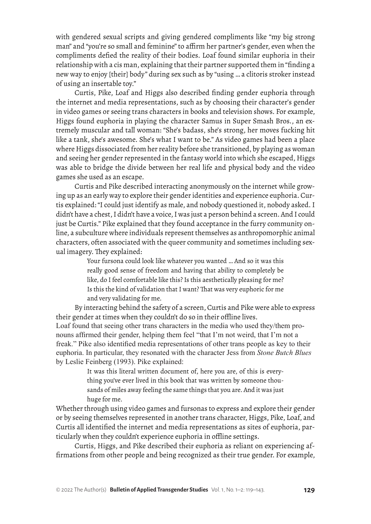with gendered sexual scripts and giving gendered compliments like "my big strong man" and "you're so small and feminine" to affirm her partner's gender, even when the compliments defied the reality of their bodies. Loaf found similar euphoria in their relationship with a cis man, explaining that their partner supported them in "finding a new way to enjoy [their] body" during sex such as by "using … a clitoris stroker instead of using an insertable toy."

Curtis, Pike, Loaf and Higgs also described finding gender euphoria through the internet and media representations, such as by choosing their character's gender in video games or seeing trans characters in books and television shows. For example, Higgs found euphoria in playing the character Samus in Super Smash Bros., an extremely muscular and tall woman: "She's badass, she's strong, her moves fucking hit like a tank, she's awesome. She's what I want to be." As video games had been a place where Higgs dissociated from her reality before she transitioned, by playing as woman and seeing her gender represented in the fantasy world into which she escaped, Higgs was able to bridge the divide between her real life and physical body and the video games she used as an escape.

Curtis and Pike described interacting anonymously on the internet while growing up as an early way to explore their gender identities and experience euphoria. Curtis explained: "I could just identify as male, and nobody questioned it, nobody asked. I didn't have a chest, I didn't have a voice, I was just a person behind a screen. And I could just be Curtis." Pike explained that they found acceptance in the furry community online, a subculture where individuals represent themselves as anthropomorphic animal characters, often associated with the queer community and sometimes including sexual imagery. They explained:

> Your fursona could look like whatever you wanted … And so it was this really good sense of freedom and having that ability to completely be like, do I feel comfortable like this? Is this aesthetically pleasing for me? Is this the kind of validation that I want? That was very euphoric for me and very validating for me.

By interacting behind the safety of a screen, Curtis and Pike were able to express their gender at times when they couldn't do so in their offline lives. Loaf found that seeing other trans characters in the media who used they/them pronouns affirmed their gender, helping them feel "that I'm not weird, that I'm not a freak." Pike also identified media representations of other trans people as key to their euphoria. In particular, they resonated with the character Jess from *Stone Butch Blues* by Leslie Feinberg (1993). Pike explained:

> It was this literal written document of, here you are, of this is everything you've ever lived in this book that was written by someone thousands of miles away feeling the same things that you are. And it was just huge for me.

Whether through using video games and fursonas to express and explore their gender or by seeing themselves represented in another trans character, Higgs, Pike, Loaf, and Curtis all identified the internet and media representations as sites of euphoria, particularly when they couldn't experience euphoria in offline settings.

Curtis, Higgs, and Pike described their euphoria as reliant on experiencing affirmations from other people and being recognized as their true gender. For example,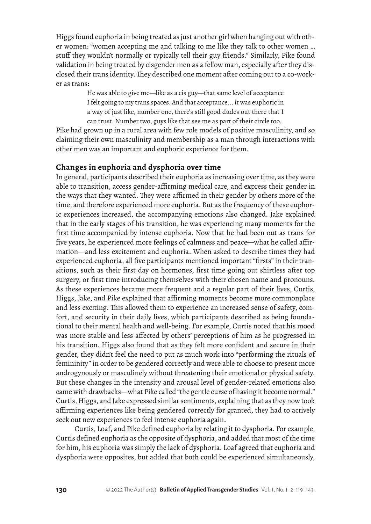Higgs found euphoria in being treated as just another girl when hanging out with other women: "women accepting me and talking to me like they talk to other women … stuff they wouldn't normally or typically tell their guy friends." Similarly, Pike found validation in being treated by cisgender men as a fellow man, especially after they disclosed their trans identity. They described one moment after coming out to a co-worker as trans:

> He was able to give me—like as a cis guy—that same level of acceptance I felt going to my trans spaces. And that acceptance... it was euphoric in a way of just like, number one, there's still good dudes out there that I can trust. Number two, guys like that see me as part of their circle too.

Pike had grown up in a rural area with few role models of positive masculinity, and so claiming their own masculinity and membership as a man through interactions with other men was an important and euphoric experience for them.

## **Changes in euphoria and dysphoria over time**

In general, participants described their euphoria as increasing over time, as they were able to transition, access gender-affirming medical care, and express their gender in the ways that they wanted. They were affirmed in their gender by others more of the time, and therefore experienced more euphoria. But as the frequency of these euphoric experiences increased, the accompanying emotions also changed. Jake explained that in the early stages of his transition, he was experiencing many moments for the first time accompanied by intense euphoria. Now that he had been out as trans for five years, he experienced more feelings of calmness and peace—what he called affirmation—and less excitement and euphoria. When asked to describe times they had experienced euphoria, all five participants mentioned important "firsts" in their transitions, such as their first day on hormones, first time going out shirtless after top surgery, or first time introducing themselves with their chosen name and pronouns. As these experiences became more frequent and a regular part of their lives, Curtis, Higgs, Jake, and Pike explained that affirming moments become more commonplace and less exciting. This allowed them to experience an increased sense of safety, comfort, and security in their daily lives, which participants described as being foundational to their mental health and well-being. For example, Curtis noted that his mood was more stable and less affected by others' perceptions of him as he progressed in his transition. Higgs also found that as they felt more confident and secure in their gender, they didn't feel the need to put as much work into "performing the rituals of femininity" in order to be gendered correctly and were able to choose to present more androgynously or masculinely without threatening their emotional or physical safety. But these changes in the intensity and arousal level of gender-related emotions also came with drawbacks—what Pike called "the gentle curse of having it become normal." Curtis, Higgs, and Jake expressed similar sentiments, explaining that as they now took affirming experiences like being gendered correctly for granted, they had to actively seek out new experiences to feel intense euphoria again.

Curtis, Loaf, and Pike defined euphoria by relating it to dysphoria. For example, Curtis defined euphoria as the opposite of dysphoria, and added that most of the time for him, his euphoria was simply the lack of dysphoria. Loaf agreed that euphoria and dysphoria were opposites, but added that both could be experienced simultaneously,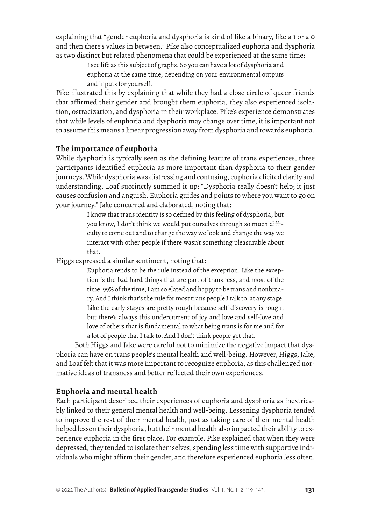explaining that "gender euphoria and dysphoria is kind of like a binary, like a 1 or a 0 and then there's values in between." Pike also conceptualized euphoria and dysphoria as two distinct but related phenomena that could be experienced at the same time:

> I see life as this subject of graphs. So you can have a lot of dysphoria and euphoria at the same time, depending on your environmental outputs and inputs for yourself.

Pike illustrated this by explaining that while they had a close circle of queer friends that affirmed their gender and brought them euphoria, they also experienced isolation, ostracization, and dysphoria in their workplace. Pike's experience demonstrates that while levels of euphoria and dysphoria may change over time, it is important not to assume this means a linear progression away from dysphoria and towards euphoria.

# **The importance of euphoria**

While dysphoria is typically seen as the defining feature of trans experiences, three participants identified euphoria as more important than dysphoria to their gender journeys. While dysphoria was distressing and confusing, euphoria elicited clarity and understanding. Loaf succinctly summed it up: "Dysphoria really doesn't help; it just causes confusion and anguish. Euphoria guides and points to where you want to go on your journey." Jake concurred and elaborated, noting that:

> I know that trans identity is so defined by this feeling of dysphoria, but you know, I don't think we would put ourselves through so much difficulty to come out and to change the way we look and change the way we interact with other people if there wasn't something pleasurable about that.

Higgs expressed a similar sentiment, noting that:

Euphoria tends to be the rule instead of the exception. Like the exception is the bad hard things that are part of transness, and most of the time, 99% of the time, I am so elated and happy to be trans and nonbinary. And I think that's the rule for most trans people I talk to, at any stage. Like the early stages are pretty rough because self-discovery is rough, but there's always this undercurrent of joy and love and self-love and love of others that is fundamental to what being trans is for me and for a lot of people that I talk to. And I don't think people get that.

Both Higgs and Jake were careful not to minimize the negative impact that dysphoria can have on trans people's mental health and well-being. However, Higgs, Jake, and Loaf felt that it was more important to recognize euphoria, as this challenged normative ideas of transness and better reflected their own experiences.

# **Euphoria and mental health**

Each participant described their experiences of euphoria and dysphoria as inextricably linked to their general mental health and well-being. Lessening dysphoria tended to improve the rest of their mental health, just as taking care of their mental health helped lessen their dysphoria, but their mental health also impacted their ability to experience euphoria in the first place. For example, Pike explained that when they were depressed, they tended to isolate themselves, spending less time with supportive individuals who might affirm their gender, and therefore experienced euphoria less often.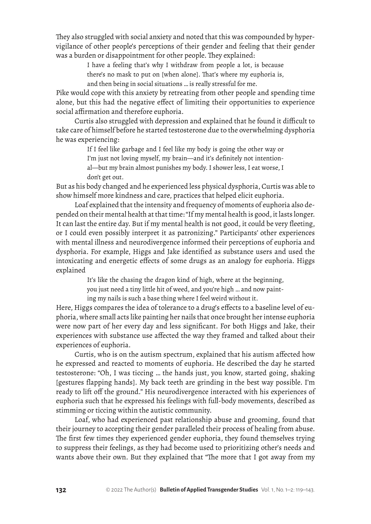They also struggled with social anxiety and noted that this was compounded by hypervigilance of other people's perceptions of their gender and feeling that their gender was a burden or disappointment for other people. They explained:

I have a feeling that's why I withdraw from people a lot, is because

there's no mask to put on [when alone]. That's where my euphoria is,

and then being in social situations … is really stressful for me.

Pike would cope with this anxiety by retreating from other people and spending time alone, but this had the negative effect of limiting their opportunities to experience social affirmation and therefore euphoria.

Curtis also struggled with depression and explained that he found it difficult to take care of himself before he started testosterone due to the overwhelming dysphoria he was experiencing:

> If I feel like garbage and I feel like my body is going the other way or I'm just not loving myself, my brain—and it's definitely not intentional—but my brain almost punishes my body. I shower less, I eat worse, I don't get out.

But as his body changed and he experienced less physical dysphoria, Curtis was able to show himself more kindness and care, practices that helped elicit euphoria.

Loaf explained that the intensity and frequency of moments of euphoria also depended on their mental health at that time: "If my mental health is good, it lasts longer. It can last the entire day. But if my mental health is not good, it could be very fleeting, or I could even possibly interpret it as patronizing." Participants' other experiences with mental illness and neurodivergence informed their perceptions of euphoria and dysphoria. For example, Higgs and Jake identified as substance users and used the intoxicating and energetic effects of some drugs as an analogy for euphoria. Higgs explained

> It's like the chasing the dragon kind of high, where at the beginning, you just need a tiny little hit of weed, and you're high … and now painting my nails is such a base thing where I feel weird without it.

Here, Higgs compares the idea of tolerance to a drug's effects to a baseline level of euphoria, where small acts like painting her nails that once brought her intense euphoria were now part of her every day and less significant. For both Higgs and Jake, their experiences with substance use affected the way they framed and talked about their experiences of euphoria.

Curtis, who is on the autism spectrum, explained that his autism affected how he expressed and reacted to moments of euphoria. He described the day he started testosterone: "Oh, I was ticcing … the hands just, you know, started going, shaking [gestures flapping hands]. My back teeth are grinding in the best way possible. I'm ready to lift off the ground." His neurodivergence interacted with his experiences of euphoria such that he expressed his feelings with full-body movements, described as stimming or ticcing within the autistic community.

Loaf, who had experienced past relationship abuse and grooming, found that their journey to accepting their gender paralleled their process of healing from abuse. The first few times they experienced gender euphoria, they found themselves trying to suppress their feelings, as they had become used to prioritizing other's needs and wants above their own. But they explained that "The more that I got away from my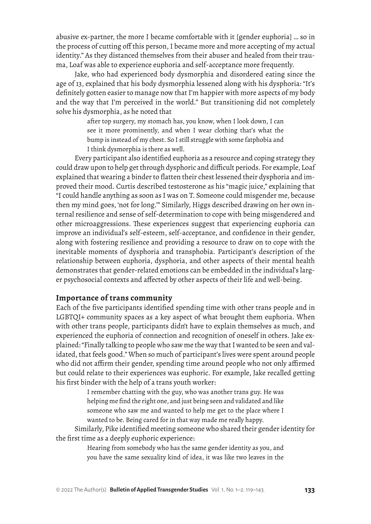abusive ex-partner, the more I became comfortable with it [gender euphoria] … so in the process of cutting off this person, I became more and more accepting of my actual identity." As they distanced themselves from their abuser and healed from their trauma, Loaf was able to experience euphoria and self-acceptance more frequently.

Jake, who had experienced body dysmorphia and disordered eating since the age of 13, explained that his body dysmorphia lessened along with his dysphoria: "It's definitely gotten easier to manage now that I'm happier with more aspects of my body and the way that I'm perceived in the world." But transitioning did not completely solve his dysmorphia, as he noted that

> after top surgery, my stomach has, you know, when I look down, I can see it more prominently, and when I wear clothing that's what the bump is instead of my chest. So I still struggle with some fatphobia and I think dysmorphia is there as well.

Every participant also identified euphoria as a resource and coping strategy they could draw upon to help get through dysphoric and difficult periods. For example, Loaf explained that wearing a binder to flatten their chest lessened their dysphoria and improved their mood. Curtis described testosterone as his "magic juice," explaining that "I could handle anything as soon as I was on T. Someone could misgender me, because then my mind goes, 'not for long.'" Similarly, Higgs described drawing on her own internal resilience and sense of self-determination to cope with being misgendered and other microaggressions. These experiences suggest that experiencing euphoria can improve an individual's self-esteem, self-acceptance, and confidence in their gender, along with fostering resilience and providing a resource to draw on to cope with the inevitable moments of dysphoria and transphobia. Participant's description of the relationship between euphoria, dysphoria, and other aspects of their mental health demonstrates that gender-related emotions can be embedded in the individual's larger psychosocial contexts and affected by other aspects of their life and well-being.

## **Importance of trans community**

Each of the five participants identified spending time with other trans people and in LGBTQI+ community spaces as a key aspect of what brought them euphoria. When with other trans people, participants didn't have to explain themselves as much, and experienced the euphoria of connection and recognition of oneself in others. Jake explained: "Finally talking to people who saw me the way that I wanted to be seen and validated, that feels good." When so much of participant's lives were spent around people who did not affirm their gender, spending time around people who not only affirmed but could relate to their experiences was euphoric. For example, Jake recalled getting his first binder with the help of a trans youth worker:

> I remember chatting with the guy, who was another trans guy. He was helping me find the right one, and just being seen and validated and like someone who saw me and wanted to help me get to the place where I wanted to be. Being cared for in that way made me really happy.

Similarly, Pike identified meeting someone who shared their gender identity for the first time as a deeply euphoric experience:

> Hearing from somebody who has the same gender identity as you, and you have the same sexuality kind of idea, it was like two leaves in the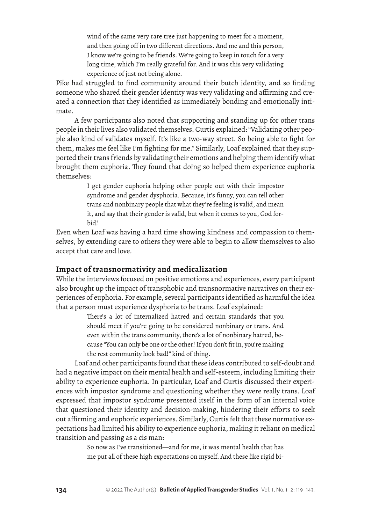wind of the same very rare tree just happening to meet for a moment, and then going off in two different directions. And me and this person, I know we're going to be friends. We're going to keep in touch for a very long time, which I'm really grateful for. And it was this very validating experience of just not being alone.

Pike had struggled to find community around their butch identity, and so finding someone who shared their gender identity was very validating and affirming and created a connection that they identified as immediately bonding and emotionally intimate.

A few participants also noted that supporting and standing up for other trans people in their lives also validated themselves. Curtis explained: "Validating other people also kind of validates myself. It's like a two-way street. So being able to fight for them, makes me feel like I'm fighting for me." Similarly, Loaf explained that they supported their trans friends by validating their emotions and helping them identify what brought them euphoria. They found that doing so helped them experience euphoria themselves:

> I get gender euphoria helping other people out with their impostor syndrome and gender dysphoria. Because, it's funny, you can tell other trans and nonbinary people that what they're feeling is valid, and mean it, and say that their gender is valid, but when it comes to you, God forbid!

Even when Loaf was having a hard time showing kindness and compassion to themselves, by extending care to others they were able to begin to allow themselves to also accept that care and love.

## **Impact of transnormativity and medicalization**

While the interviews focused on positive emotions and experiences, every participant also brought up the impact of transphobic and transnormative narratives on their experiences of euphoria. For example, several participants identified as harmful the idea that a person must experience dysphoria to be trans. Loaf explained:

> There's a lot of internalized hatred and certain standards that you should meet if you're going to be considered nonbinary or trans. And even within the trans community, there's a lot of nonbinary hatred, because "You can only be one or the other! If you don't fit in, you're making the rest community look bad!" kind of thing.

Loaf and other participants found that these ideas contributed to self-doubt and had a negative impact on their mental health and self-esteem, including limiting their ability to experience euphoria. In particular, Loaf and Curtis discussed their experiences with impostor syndrome and questioning whether they were really trans. Loaf expressed that impostor syndrome presented itself in the form of an internal voice that questioned their identity and decision-making, hindering their efforts to seek out affirming and euphoric experiences. Similarly, Curtis felt that these normative expectations had limited his ability to experience euphoria, making it reliant on medical transition and passing as a cis man:

> So now as I've transitioned—and for me, it was mental health that has me put all of these high expectations on myself. And these like rigid bi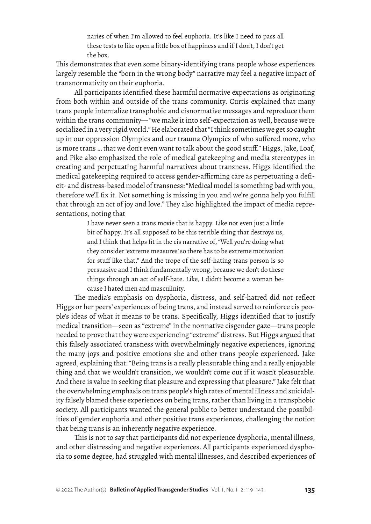naries of when I'm allowed to feel euphoria. It's like I need to pass all these tests to like open a little box of happiness and if I don't, I don't get the box.

This demonstrates that even some binary-identifying trans people whose experiences largely resemble the "born in the wrong body" narrative may feel a negative impact of transnormativity on their euphoria.

All participants identified these harmful normative expectations as originating from both within and outside of the trans community. Curtis explained that many trans people internalize transphobic and cisnormative messages and reproduce them within the trans community— "we make it into self-expectation as well, because we're socialized in a very rigid world." He elaborated that "I think sometimes we get so caught up in our oppression Olympics and our trauma Olympics of who suffered more, who is more trans … that we don't even want to talk about the good stuff." Higgs, Jake, Loaf, and Pike also emphasized the role of medical gatekeeping and media stereotypes in creating and perpetuating harmful narratives about transness. Higgs identified the medical gatekeeping required to access gender-affirming care as perpetuating a deficit- and distress-based model of transness: "Medical model is something bad with you, therefore we'll fix it. Not something is missing in you and we're gonna help you fulfill that through an act of joy and love." They also highlighted the impact of media representations, noting that

> I have never seen a trans movie that is happy. Like not even just a little bit of happy. It's all supposed to be this terrible thing that destroys us, and I think that helps fit in the cis narrative of, "Well you're doing what they consider 'extreme measures' so there has to be extreme motivation for stuff like that." And the trope of the self-hating trans person is so persuasive and I think fundamentally wrong, because we don't do these things through an act of self-hate. Like, I didn't become a woman because I hated men and masculinity.

The media's emphasis on dysphoria, distress, and self-hatred did not reflect Higgs or her peers' experiences of being trans, and instead served to reinforce cis people's ideas of what it means to be trans. Specifically, Higgs identified that to justify medical transition—seen as "extreme" in the normative cisgender gaze—trans people needed to prove that they were experiencing "extreme" distress. But Higgs argued that this falsely associated transness with overwhelmingly negative experiences, ignoring the many joys and positive emotions she and other trans people experienced. Jake agreed, explaining that: "Being trans is a really pleasurable thing and a really enjoyable thing and that we wouldn't transition, we wouldn't come out if it wasn't pleasurable. And there is value in seeking that pleasure and expressing that pleasure." Jake felt that the overwhelming emphasis on trans people's high rates of mental illness and suicidality falsely blamed these experiences on being trans, rather than living in a transphobic society. All participants wanted the general public to better understand the possibilities of gender euphoria and other positive trans experiences, challenging the notion that being trans is an inherently negative experience.

This is not to say that participants did not experience dysphoria, mental illness, and other distressing and negative experiences. All participants experienced dysphoria to some degree, had struggled with mental illnesses, and described experiences of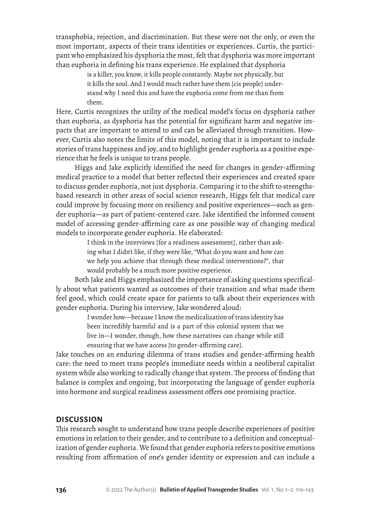transphobia, rejection, and discrimination. But these were not the only, or even the most important, aspects of their trans identities or experiences. Curtis, the participant who emphasized his dysphoria the most, felt that dysphoria was more important than euphoria in defining his trans experience. He explained that dysphoria

> is a killer, you know, it kills people constantly. Maybe not physically, but it kills the soul. And I would much rather have them [cis people] understand why I need this and have the euphoria come from me than from them.

Here, Curtis recognizes the utility of the medical model's focus on dysphoria rather than euphoria, as dysphoria has the potential for significant harm and negative impacts that are important to attend to and can be alleviated through transition. However, Curtis also notes the limits of this model, noting that it is important to include stories of trans happiness and joy, and to highlight gender euphoria as a positive experience that he feels is unique to trans people.

Higgs and Jake explicitly identified the need for changes in gender-affirming medical practice to a model that better reflected their experiences and created space to discuss gender euphoria, not just dysphoria. Comparing it to the shift to strengthsbased research in other areas of social science research, Higgs felt that medical care could improve by focusing more on resiliency and positive experiences—such as gender euphoria—as part of patient-centered care. Jake identified the informed consent model of accessing gender-affirming care as one possible way of changing medical models to incorporate gender euphoria. He elaborated:

> I think in the interviews [for a readiness assessment], rather than asking what I didn't like, if they were like, "What do you want and how can we help you achieve that through these medical interventions?", that would probably be a much more positive experience.

Both Jake and Higgs emphasized the importance of asking questions specifically about what patients wanted as outcomes of their transition and what made them feel good, which could create space for patients to talk about their experiences with gender euphoria. During his interview, Jake wondered aloud:

> I wonder how—because I know the medicalization of trans identity has been incredibly harmful and is a part of this colonial system that we live in—I wonder, though, how these narratives can change while still ensuring that we have access [to gender-affirming care].

Jake touches on an enduring dilemma of trans studies and gender-affirming health care: the need to meet trans people's immediate needs within a neoliberal capitalist system while also working to radically change that system. The process of finding that balance is complex and ongoing, but incorporating the language of gender euphoria into hormone and surgical readiness assessment offers one promising practice.

## **DISCUSSION**

This research sought to understand how trans people describe experiences of positive emotions in relation to their gender, and to contribute to a definition and conceptualization of gender euphoria. We found that gender euphoria refers to positive emotions resulting from affirmation of one's gender identity or expression and can include a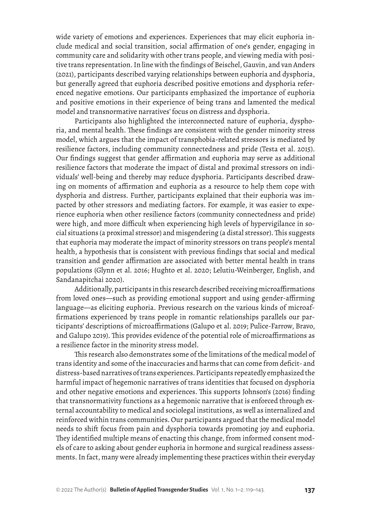wide variety of emotions and experiences. Experiences that may elicit euphoria include medical and social transition, social affirmation of one's gender, engaging in community care and solidarity with other trans people, and viewing media with positive trans representation. In line with the findings of Beischel, Gauvin, and van Anders (2021), participants described varying relationships between euphoria and dysphoria, but generally agreed that euphoria described positive emotions and dysphoria referenced negative emotions. Our participants emphasized the importance of euphoria and positive emotions in their experience of being trans and lamented the medical model and transnormative narratives' focus on distress and dysphoria.

Participants also highlighted the interconnected nature of euphoria, dysphoria, and mental health. These findings are consistent with the gender minority stress model, which argues that the impact of transphobia-related stressors is mediated by resilience factors, including community connectedness and pride (Testa et al. 2015). Our findings suggest that gender affirmation and euphoria may serve as additional resilience factors that moderate the impact of distal and proximal stressors on individuals' well-being and thereby may reduce dysphoria. Participants described drawing on moments of affirmation and euphoria as a resource to help them cope with dysphoria and distress. Further, participants explained that their euphoria was impacted by other stressors and mediating factors. For example, it was easier to experience euphoria when other resilience factors (community connectedness and pride) were high, and more difficult when experiencing high levels of hypervigilance in social situations (a proximal stressor) and misgendering (a distal stressor). This suggests that euphoria may moderate the impact of minority stressors on trans people's mental health, a hypothesis that is consistent with previous findings that social and medical transition and gender affirmation are associated with better mental health in trans populations (Glynn et al. 2016; Hughto et al. 2020; Lelutiu-Weinberger, English, and Sandanapitchai 2020).

Additionally, participants in this research described receiving microaffirmations from loved ones—such as providing emotional support and using gender-affirming language—as eliciting euphoria. Previous research on the various kinds of microaffirmations experienced by trans people in romantic relationships parallels our participants' descriptions of microaffirmations (Galupo et al. 2019; Pulice-Farrow, Bravo, and Galupo 2019). This provides evidence of the potential role of microaffirmations as a resilience factor in the minority stress model.

This research also demonstrates some of the limitations of the medical model of trans identity and some of the inaccuracies and harms that can come from deficit- and distress-based narratives of trans experiences. Participants repeatedly emphasized the harmful impact of hegemonic narratives of trans identities that focused on dysphoria and other negative emotions and experiences. This supports Johnson's (2016) finding that transnormativity functions as a hegemonic narrative that is enforced through external accountability to medical and sociolegal institutions, as well as internalized and reinforced within trans communities. Our participants argued that the medical model needs to shift focus from pain and dysphoria towards promoting joy and euphoria. They identified multiple means of enacting this change, from informed consent models of care to asking about gender euphoria in hormone and surgical readiness assessments. In fact, many were already implementing these practices within their everyday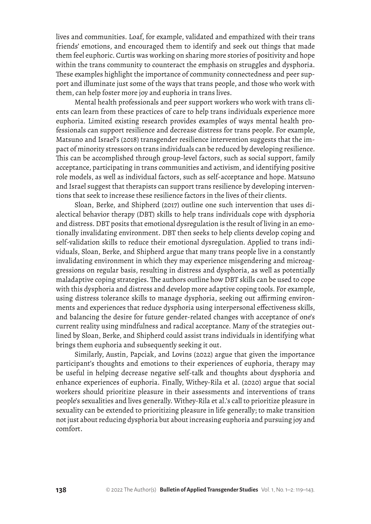lives and communities. Loaf, for example, validated and empathized with their trans friends' emotions, and encouraged them to identify and seek out things that made them feel euphoric. Curtis was working on sharing more stories of positivity and hope within the trans community to counteract the emphasis on struggles and dysphoria. These examples highlight the importance of community connectedness and peer support and illuminate just some of the ways that trans people, and those who work with them, can help foster more joy and euphoria in trans lives.

Mental health professionals and peer support workers who work with trans clients can learn from these practices of care to help trans individuals experience more euphoria. Limited existing research provides examples of ways mental health professionals can support resilience and decrease distress for trans people. For example, Matsuno and Israel's (2018) transgender resilience intervention suggests that the impact of minority stressors on trans individuals can be reduced by developing resilience. This can be accomplished through group-level factors, such as social support, family acceptance, participating in trans communities and activism, and identifying positive role models, as well as individual factors, such as self-acceptance and hope. Matsuno and Israel suggest that therapists can support trans resilience by developing interventions that seek to increase these resilience factors in the lives of their clients.

Sloan, Berke, and Shipherd (2017) outline one such intervention that uses dialectical behavior therapy (DBT) skills to help trans individuals cope with dysphoria and distress. DBT posits that emotional dysregulation is the result of living in an emotionally invalidating environment. DBT then seeks to help clients develop coping and self-validation skills to reduce their emotional dysregulation. Applied to trans individuals, Sloan, Berke, and Shipherd argue that many trans people live in a constantly invalidating environment in which they may experience misgendering and microaggressions on regular basis, resulting in distress and dysphoria, as well as potentially maladaptive coping strategies. The authors outline how DBT skills can be used to cope with this dysphoria and distress and develop more adaptive coping tools. For example, using distress tolerance skills to manage dysphoria, seeking out affirming environments and experiences that reduce dysphoria using interpersonal effectiveness skills, and balancing the desire for future gender-related changes with acceptance of one's current reality using mindfulness and radical acceptance. Many of the strategies outlined by Sloan, Berke, and Shipherd could assist trans individuals in identifying what brings them euphoria and subsequently seeking it out.

Similarly, Austin, Papciak, and Lovins (2022) argue that given the importance participant's thoughts and emotions to their experiences of euphoria, therapy may be useful in helping decrease negative self-talk and thoughts about dysphoria and enhance experiences of euphoria. Finally, Withey-Rila et al. (2020) argue that social workers should prioritize pleasure in their assessments and interventions of trans people's sexualities and lives generally. Withey-Rila et al.'s call to prioritize pleasure in sexuality can be extended to prioritizing pleasure in life generally; to make transition not just about reducing dysphoria but about increasing euphoria and pursuing joy and comfort.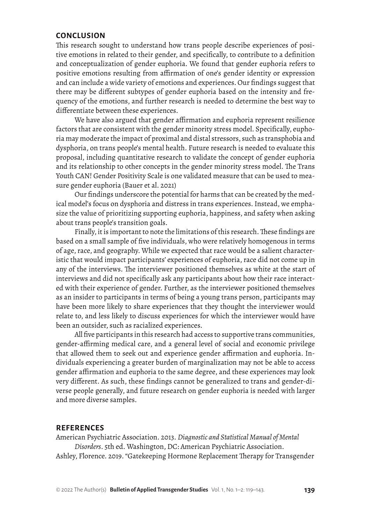### **CONCLUSION**

This research sought to understand how trans people describe experiences of positive emotions in related to their gender, and specifically, to contribute to a definition and conceptualization of gender euphoria. We found that gender euphoria refers to positive emotions resulting from affirmation of one's gender identity or expression and can include a wide variety of emotions and experiences. Our findings suggest that there may be different subtypes of gender euphoria based on the intensity and frequency of the emotions, and further research is needed to determine the best way to differentiate between these experiences.

We have also argued that gender affirmation and euphoria represent resilience factors that are consistent with the gender minority stress model. Specifically, euphoria may moderate the impact of proximal and distal stressors, such as transphobia and dysphoria, on trans people's mental health. Future research is needed to evaluate this proposal, including quantitative research to validate the concept of gender euphoria and its relationship to other concepts in the gender minority stress model. The Trans Youth CAN! Gender Positivity Scale is one validated measure that can be used to measure gender euphoria (Bauer et al. 2021)

Our findings underscore the potential for harms that can be created by the medical model's focus on dysphoria and distress in trans experiences. Instead, we emphasize the value of prioritizing supporting euphoria, happiness, and safety when asking about trans people's transition goals.

Finally, it is important to note the limitations of this research. These findings are based on a small sample of five individuals, who were relatively homogenous in terms of age, race, and geography. While we expected that race would be a salient characteristic that would impact participants' experiences of euphoria, race did not come up in any of the interviews. The interviewer positioned themselves as white at the start of interviews and did not specifically ask any participants about how their race interacted with their experience of gender. Further, as the interviewer positioned themselves as an insider to participants in terms of being a young trans person, participants may have been more likely to share experiences that they thought the interviewer would relate to, and less likely to discuss experiences for which the interviewer would have been an outsider, such as racialized experiences.

All five participants in this research had access to supportive trans communities, gender-affirming medical care, and a general level of social and economic privilege that allowed them to seek out and experience gender affirmation and euphoria. Individuals experiencing a greater burden of marginalization may not be able to access gender affirmation and euphoria to the same degree, and these experiences may look very different. As such, these findings cannot be generalized to trans and gender-diverse people generally, and future research on gender euphoria is needed with larger and more diverse samples.

### **REFERENCES**

American Psychiatric Association. 2013. *Diagnostic and Statistical Manual of Mental Disorders*. 5th ed. Washington, DC: American Psychiatric Association.

Ashley, Florence. 2019. "Gatekeeping Hormone Replacement Therapy for Transgender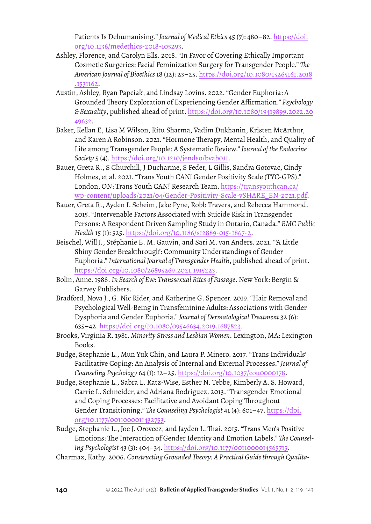Patients Is Dehumanising." *Journal of Medical Ethics* 45 (7): 480–82. [https://doi.](https://doi.org/10.1136/medethics-2018-105293) [org/10.1136/medethics-2018-105293](https://doi.org/10.1136/medethics-2018-105293).

- Ashley, Florence, and Carolyn Ells. 2018. "In Favor of Covering Ethically Important Cosmetic Surgeries: Facial Feminization Surgery for Transgender People." *The American Journal of Bioethics* 18 (12): 23–25. [https://doi.org/10.1080/15265161.2018](https://doi.org/10.1080/15265161.2018.1531162) [.1531162](https://doi.org/10.1080/15265161.2018.1531162).
- Austin, Ashley, Ryan Papciak, and Lindsay Lovins. 2022. "Gender Euphoria: A Grounded Theory Exploration of Experiencing Gender Affirmation." *Psychology & Sexuality*, published ahead of print. [https://doi.org/10.1080/19419899.2022.20](https://doi.org/10.1080/19419899.2022.2049632) [49632](https://doi.org/10.1080/19419899.2022.2049632).
- Baker, Kellan E, Lisa M Wilson, Ritu Sharma, Vadim Dukhanin, Kristen McArthur, and Karen A Robinson. 2021. "Hormone Therapy, Mental Health, and Quality of Life among Transgender People: A Systematic Review." *Journal of the Endocrine Society* 5 (4). <https://doi.org/10.1210/jendso/bvab011>.
- Bauer, Greta R., S Churchill, J Ducharme, S Feder, L Gillis, Sandra Gotovac, Cindy Holmes, et al. 2021. "Trans Youth CAN! Gender Positivity Scale (TYC-GPS)." London, ON: Trans Youth CAN! Research Team. [https://transyouthcan.ca/](https://transyouthcan.ca/wp-content/uploads/2021/04/Gender-Positivity-Scale-vSHARE_EN-2021.pdf) [wp-content/uploads/2021/04/Gender-Positivity-Scale-vSHARE\\_EN-2021.pdf](https://transyouthcan.ca/wp-content/uploads/2021/04/Gender-Positivity-Scale-vSHARE_EN-2021.pdf).
- Bauer, Greta R., Ayden I. Scheim, Jake Pyne, Robb Travers, and Rebecca Hammond. 2015. "Intervenable Factors Associated with Suicide Risk in Transgender Persons: A Respondent Driven Sampling Study in Ontario, Canada." *BMC Public Health* 15 (1): 525.<https://doi.org/10.1186/s12889-015-1867-2>.
- Beischel, Will J., Stéphanie E. M. Gauvin, and Sari M. van Anders. 2021. "'A Little Shiny Gender Breakthrough': Community Understandings of Gender Euphoria." *International Journal of Transgender Health*, published ahead of print. <https://doi.org/10.1080/26895269.2021.1915223>.
- Bolin, Anne. 1988. *In Search of Eve: Transsexual Rites of Passage*. New York: Bergin & Garvey Publishers.
- Bradford, Nova J., G. Nic Rider, and Katherine G. Spencer. 2019. "Hair Removal and Psychological Well-Being in Transfeminine Adults: Associations with Gender Dysphoria and Gender Euphoria." *Journal of Dermatological Treatment* 32 (6): 635–42. <https://doi.org/10.1080/09546634.2019.1687823>.
- Brooks, Virginia R. 1981. *Minority Stress and Lesbian Women*. Lexington, MA: Lexington Books.
- Budge, Stephanie L., Mun Yuk Chin, and Laura P. Minero. 2017. "Trans Individuals' Facilitative Coping: An Analysis of Internal and External Processes." *Journal of Counseling Psychology* 64 (1): 12–25. <https://doi.org/10.1037/cou0000178>.
- Budge, Stephanie L., Sabra L. Katz-Wise, Esther N. Tebbe, Kimberly A. S. Howard, Carrie L. Schneider, and Adriana Rodriguez. 2013. "Transgender Emotional and Coping Processes: Facilitative and Avoidant Coping Throughout Gender Transitioning." *The Counseling Psychologist* 41 (4): 601–47. [https://doi.](https://doi.org/10.1177/0011000011432753) [org/10.1177/0011000011432753](https://doi.org/10.1177/0011000011432753).
- Budge, Stephanie L., Joe J. Orovecz, and Jayden L. Thai. 2015. "Trans Men's Positive Emotions: The Interaction of Gender Identity and Emotion Labels." *The Counseling Psychologist* 43 (3): 404–34.<https://doi.org/10.1177/0011000014565715>.
- Charmaz, Kathy. 2006. *Constructing Grounded Theory: A Practical Guide through Qualita-*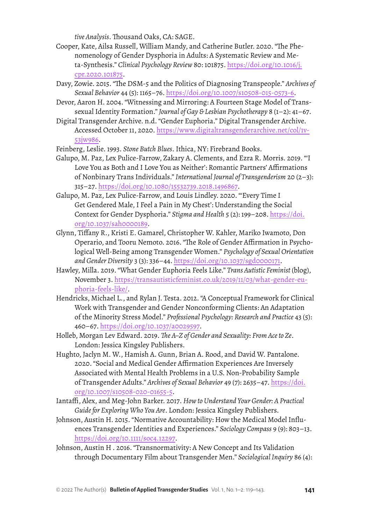*tive Analysis*. Thousand Oaks, CA: SAGE.

- Cooper, Kate, Ailsa Russell, William Mandy, and Catherine Butler. 2020. "The Phenomenology of Gender Dysphoria in Adults: A Systematic Review and Meta-Synthesis." *Clinical Psychology Review* 80: 101875. [https://doi.org/10.1016/j.](https://doi.org/10.1016/j.cpr.2020.101875) [cpr.2020.101875](https://doi.org/10.1016/j.cpr.2020.101875).
- Davy, Zowie. 2015. "The DSM-5 and the Politics of Diagnosing Transpeople." *Archives of Sexual Behavior* 44 (5): 1165–76. <https://doi.org/10.1007/s10508-015-0573-6>.
- Devor, Aaron H. 2004. "Witnessing and Mirroring: A Fourteen Stage Model of Transsexual Identity Formation." *Journal of Gay & Lesbian Psychotherapy* 8 (1–2): 41–67.
- Digital Transgender Archive. n.d. "Gender Euphoria." Digital Transgender Archive. Accessed October 11, 2020. [https://www.digitaltransgenderarchive.net/col/1v](https://www.digitaltransgenderarchive.net/col/1v53jw986)-[53jw986](https://www.digitaltransgenderarchive.net/col/1v53jw986).
- Feinberg, Leslie. 1993. *Stone Butch Blues*. Ithica, NY: Firebrand Books.
- Galupo, M. Paz, Lex Pulice-Farrow, Zakary A. Clements, and Ezra R. Morris. 2019. "'I Love You as Both and I Love You as Neither': Romantic Partners' Affirmations of Nonbinary Trans Individuals." *International Journal of Transgenderism* 20 (2–3): 315–27. <https://doi.org/10.1080/15532739.2018.1496867>.
- Galupo, M. Paz, Lex Pulice-Farrow, and Louis Lindley. 2020. "'Every Time I Get Gendered Male, I Feel a Pain in My Chest': Understanding the Social Context for Gender Dysphoria." *Stigma and Health* 5 (2): 199–208. [https://doi.](https://doi.org/10.1037/sah0000189) [org/10.1037/sah0000189](https://doi.org/10.1037/sah0000189).
- Glynn, Tiffany R., Kristi E. Gamarel, Christopher W. Kahler, Mariko Iwamoto, Don Operario, and Tooru Nemoto. 2016. "The Role of Gender Affirmation in Psychological Well-Being among Transgender Women." *Psychology of Sexual Orientation and Gender Diversity* 3 (3): 336–44.<https://doi.org/10.1037/sgd0000171>.
- Hawley, Milla. 2019. "What Gender Euphoria Feels Like." *Trans Autistic Feminist* (blog), November 3. [https://transautisticfeminist.co.uk/2019/11/03/what-gender-eu](https://transautisticfeminist.co.uk/2019/11/03/what-gender-euphoria-feels-like/)[phoria-feels-like/.](https://transautisticfeminist.co.uk/2019/11/03/what-gender-euphoria-feels-like/)
- Hendricks, Michael L., and Rylan J. Testa. 2012. "A Conceptual Framework for Clinical Work with Transgender and Gender Nonconforming Clients: An Adaptation of the Minority Stress Model." *Professional Psychology: Research and Practice* 43 (5): 460–67. <https://doi.org/10.1037/a0029597>.
- Holleb, Morgan Lev Edward. 2019. *The A–Z of Gender and Sexuality: From Ace to Ze*. London: Jessica Kingsley Publishers.
- Hughto, Jaclyn M. W., Hamish A. Gunn, Brian A. Rood, and David W. Pantalone. 2020. "Social and Medical Gender Affirmation Experiences Are Inversely Associated with Mental Health Problems in a U.S. Non-Probability Sample of Transgender Adults." *Archives of Sexual Behavior* 49 (7): 2635–47. [https://doi.](https://doi.org/10.1007/s10508-020-01655-5) [org/10.1007/s10508-020-01655-5](https://doi.org/10.1007/s10508-020-01655-5).
- Iantaffi, Alex, and Meg-John Barker. 2017. *How to Understand Your Gender: A Practical Guide for Exploring Who You Are*. London: Jessica Kingsley Publishers.
- Johnson, Austin H. 2015. "Normative Accountability: How the Medical Model Influences Transgender Identities and Experiences." *Sociology Compass* 9 (9): 803–13. <https://doi.org/10.1111/soc4.12297>.
- Johnson, Austin H . 2016. "Transnormativity: A New Concept and Its Validation through Documentary Film about Transgender Men." *Sociological Inquiry* 86 (4):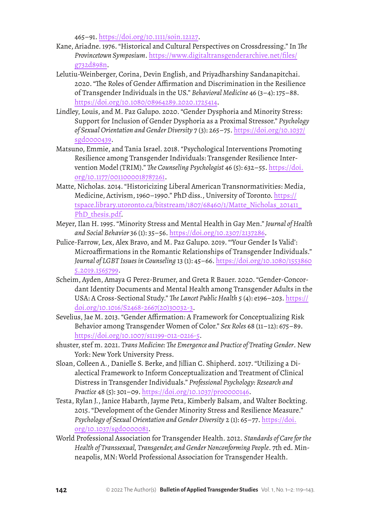465–91. <https://doi.org/10.1111/soin.12127>.

- Kane, Ariadne. 1976. "Historical and Cultural Perspectives on Crossdressing." In *The Provincetown Symposium*. [https://www.digitaltransgenderarchive.net/files/](https://www.digitaltransgenderarchive.net/files/g732d898n) [g732d898n](https://www.digitaltransgenderarchive.net/files/g732d898n).
- Lelutiu-Weinberger, Corina, Devin English, and Priyadharshiny Sandanapitchai. 2020. "The Roles of Gender Affirmation and Discrimination in the Resilience of Transgender Individuals in the US." *Behavioral Medicine* 46 (3–4): 175–88. <https://doi.org/10.1080/08964289.2020.1725414>.
- Lindley, Louis, and M. Paz Galupo. 2020. "Gender Dysphoria and Minority Stress: Support for Inclusion of Gender Dysphoria as a Proximal Stressor." *Psychology of Sexual Orientation and Gender Diversity* 7 (3): 265–75. [https://doi.org/10.1037/](https://doi.org/10.1037/sgd0000439) [sgd0000439](https://doi.org/10.1037/sgd0000439).
- Matsuno, Emmie, and Tania Israel. 2018. "Psychological Interventions Promoting Resilience among Transgender Individuals: Transgender Resilience Intervention Model (TRIM)." *The Counseling Psychologist* 46 (5): 632–55. [https://doi.](https://doi.org/10.1177/0011000018787261) [org/10.1177/0011000018787261](https://doi.org/10.1177/0011000018787261).
- Matte, Nicholas. 2014. "Historicizing Liberal American Transnormativities: Media, Medicine, Activism, 1960–1990." PhD diss., University of Toronto. [https://](https://tspace.library.utoronto.ca/bitstream/1807/68460/1/Matte_Nicholas_201411_PhD_thesis.pdf) [tspace.library.utoronto.ca/bitstream/1807/68460/1/Matte\\_Nicholas\\_201411\\_](https://tspace.library.utoronto.ca/bitstream/1807/68460/1/Matte_Nicholas_201411_PhD_thesis.pdf) PhD thesis.pdf
- Meyer, Ilan H. 1995. "Minority Stress and Mental Health in Gay Men." *Journal of Health and Social Behavior* 36 (1): 35–56. <https://doi.org/10.2307/2137286>.
- Pulice-Farrow, Lex, Alex Bravo, and M. Paz Galupo. 2019. "'Your Gender Is Valid': Microaffirmations in the Romantic Relationships of Transgender Individuals." *Journal of LGBT Issues in Counseling* 13 (1): 45–66. [https://doi.org/10.1080/1553860](https://doi.org/10.1080/15538605.2019.1565799) [5.2019.1565799](https://doi.org/10.1080/15538605.2019.1565799).
- Scheim, Ayden, Amaya G Perez-Brumer, and Greta R Bauer. 2020. "Gender-Concordant Identity Documents and Mental Health among Transgender Adults in the USA: A Cross-Sectional Study." *The Lancet Public Health* 5 (4): e196–203. [https://](https://doi.org/10.1016/S2468-2667(20)30032-3) [doi.org/10.1016/S2468-2667\(20\)30032-3](https://doi.org/10.1016/S2468-2667(20)30032-3).
- Sevelius, Jae M. 2013. "Gender Affirmation: A Framework for Conceptualizing Risk Behavior among Transgender Women of Color." *Sex Roles* 68 (11–12): 675–89. <https://doi.org/10.1007/s11199-012-0216-5>.
- shuster, stef m. 2021. *Trans Medicine: The Emergence and Practice of Treating Gender*. New York: New York University Press.
- Sloan, Colleen A., Danielle S. Berke, and Jillian C. Shipherd. 2017. "Utilizing a Dialectical Framework to Inform Conceptualization and Treatment of Clinical Distress in Transgender Individuals." *Professional Psychology: Research and Practice* 48 (5): 301–09.<https://doi.org/10.1037/pro0000146>.
- Testa, Rylan J., Janice Habarth, Jayme Peta, Kimberly Balsam, and Walter Bockting. 2015. "Development of the Gender Minority Stress and Resilience Measure." *Psychology of Sexual Orientation and Gender Diversity* 2 (1): 65–77. [https://doi.](https://doi.org/10.1037/sgd0000081) [org/10.1037/sgd0000081](https://doi.org/10.1037/sgd0000081).
- World Professional Association for Transgender Health. 2012. *Standards of Care for the Health of Transsexual, Transgender, and Gender Nonconforming People*. 7th ed. Minneapolis, MN: World Professional Association for Transgender Health.